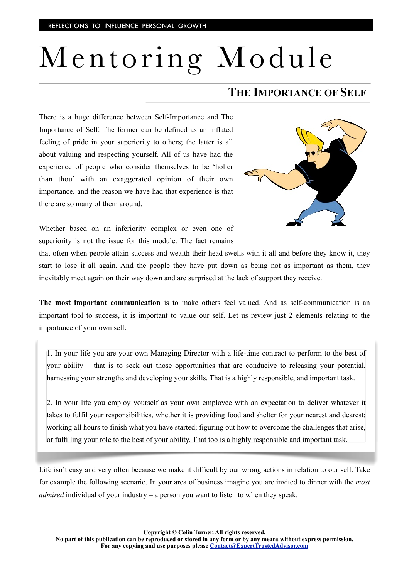## Mentoring Module

## **THE IMPORTANCE OF SELF**

There is a huge difference between Self-Importance and The Importance of Self. The former can be defined as an inflated feeling of pride in your superiority to others; the latter is all about valuing and respecting yourself. All of us have had the experience of people who consider themselves to be 'holier than thou' with an exaggerated opinion of their own importance, and the reason we have had that experience is that there are so many of them around.



Whether based on an inferiority complex or even one of superiority is not the issue for this module. The fact remains

that often when people attain success and wealth their head swells with it all and before they know it, they start to lose it all again. And the people they have put down as being not as important as them, they inevitably meet again on their way down and are surprised at the lack of support they receive.

**The most important communication** is to make others feel valued. And as self-communication is an important tool to success, it is important to value our self. Let us review just 2 elements relating to the importance of your own self:

1. In your life you are your own Managing Director with a life-time contract to perform to the best of your ability – that is to seek out those opportunities that are conducive to releasing your potential, harnessing your strengths and developing your skills. That is a highly responsible, and important task.

2. In your life you employ yourself as your own employee with an expectation to deliver whatever it takes to fulfil your responsibilities, whether it is providing food and shelter for your nearest and dearest; working all hours to finish what you have started; figuring out how to overcome the challenges that arise, or fulfilling your role to the best of your ability. That too is a highly responsible and important task.

Life isn't easy and very often because we make it difficult by our wrong actions in relation to our self. Take for example the following scenario. In your area of business imagine you are invited to dinner with the *most admired* individual of your industry – a person you want to listen to when they speak.

**Copyright © Colin Turner. All rights reserved.**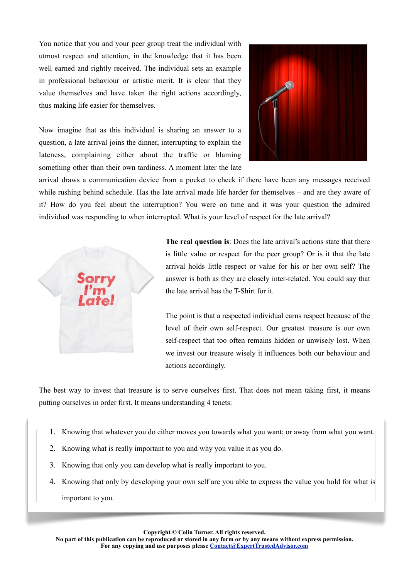You notice that you and your peer group treat the individual with utmost respect and attention, in the knowledge that it has been well earned and rightly received. The individual sets an example in professional behaviour or artistic merit. It is clear that they value themselves and have taken the right actions accordingly, thus making life easier for themselves.



Now imagine that as this individual is sharing an answer to a question, a late arrival joins the dinner, interrupting to explain the lateness, complaining either about the traffic or blaming something other than their own tardiness. A moment later the late

arrival draws a communication device from a pocket to check if there have been any messages received while rushing behind schedule. Has the late arrival made life harder for themselves – and are they aware of it? How do you feel about the interruption? You were on time and it was your question the admired individual was responding to when interrupted. What is your level of respect for the late arrival?



**The real question is**: Does the late arrival's actions state that there is little value or respect for the peer group? Or is it that the late arrival holds little respect or value for his or her own self? The answer is both as they are closely inter-related. You could say that the late arrival has the T-Shirt for it.

The point is that a respected individual earns respect because of the level of their own self-respect. Our greatest treasure is our own self-respect that too often remains hidden or unwisely lost. When we invest our treasure wisely it influences both our behaviour and actions accordingly.

The best way to invest that treasure is to serve ourselves first. That does not mean taking first, it means putting ourselves in order first. It means understanding 4 tenets:

- 1. Knowing that whatever you do either moves you towards what you want; or away from what you want.
- 2. Knowing what is really important to you and why you value it as you do.
- 3. Knowing that only you can develop what is really important to you.
- 4. Knowing that only by developing your own self are you able to express the value you hold for what is important to you.

**Copyright © Colin Turner. All rights reserved.** 

**No part of this publication can be reproduced or stored in any form or by any means without express permission. For any copying and use purposes please [Contact@ExpertTrustedAdvisor.com](mailto:Contact@ExpertTrustedAdvisor.com)**